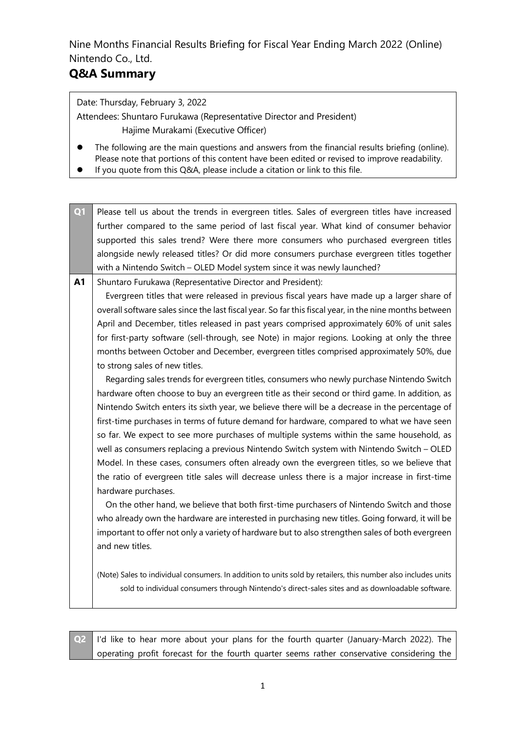# **Q&A Summary**

Date: Thursday, February 3, 2022

Attendees: Shuntaro Furukawa (Representative Director and President) Hajime Murakami (Executive Officer)

- ⚫ The following are the main questions and answers from the financial results briefing (online). Please note that portions of this content have been edited or revised to improve readability.
- If you quote from this Q&A, please include a citation or link to this file.

| Q1        | Please tell us about the trends in evergreen titles. Sales of evergreen titles have increased                 |
|-----------|---------------------------------------------------------------------------------------------------------------|
|           | further compared to the same period of last fiscal year. What kind of consumer behavior                       |
|           | supported this sales trend? Were there more consumers who purchased evergreen titles                          |
|           | alongside newly released titles? Or did more consumers purchase evergreen titles together                     |
|           | with a Nintendo Switch - OLED Model system since it was newly launched?                                       |
| <b>A1</b> | Shuntaro Furukawa (Representative Director and President):                                                    |
|           | Evergreen titles that were released in previous fiscal years have made up a larger share of                   |
|           | overall software sales since the last fiscal year. So far this fiscal year, in the nine months between        |
|           | April and December, titles released in past years comprised approximately 60% of unit sales                   |
|           | for first-party software (sell-through, see Note) in major regions. Looking at only the three                 |
|           | months between October and December, evergreen titles comprised approximately 50%, due                        |
|           | to strong sales of new titles.                                                                                |
|           | Regarding sales trends for evergreen titles, consumers who newly purchase Nintendo Switch                     |
|           | hardware often choose to buy an evergreen title as their second or third game. In addition, as                |
|           | Nintendo Switch enters its sixth year, we believe there will be a decrease in the percentage of               |
|           | first-time purchases in terms of future demand for hardware, compared to what we have seen                    |
|           | so far. We expect to see more purchases of multiple systems within the same household, as                     |
|           | well as consumers replacing a previous Nintendo Switch system with Nintendo Switch - OLED                     |
|           | Model. In these cases, consumers often already own the evergreen titles, so we believe that                   |
|           | the ratio of evergreen title sales will decrease unless there is a major increase in first-time               |
|           | hardware purchases.                                                                                           |
|           | On the other hand, we believe that both first-time purchasers of Nintendo Switch and those                    |
|           | who already own the hardware are interested in purchasing new titles. Going forward, it will be               |
|           | important to offer not only a variety of hardware but to also strengthen sales of both evergreen              |
|           | and new titles.                                                                                               |
|           |                                                                                                               |
|           | (Note) Sales to individual consumers. In addition to units sold by retailers, this number also includes units |
|           | sold to individual consumers through Nintendo's direct-sales sites and as downloadable software.              |
|           |                                                                                                               |

**Q2** I'd like to hear more about your plans for the fourth quarter (January-March 2022). The operating profit forecast for the fourth quarter seems rather conservative considering the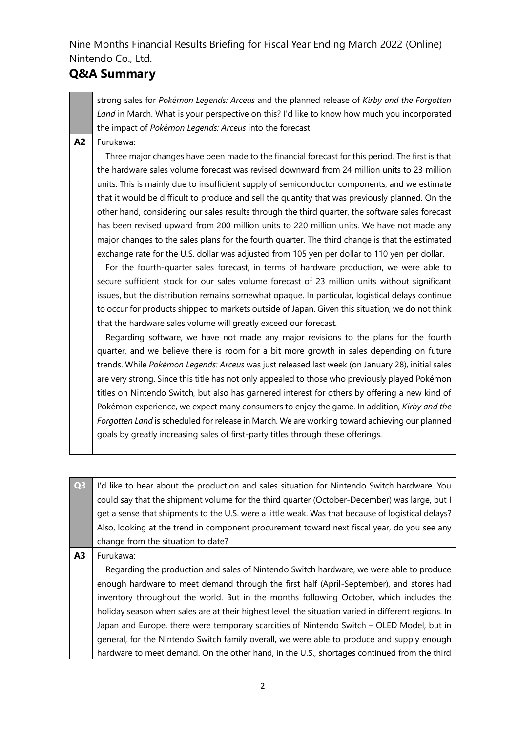#### **Q&A Summary**

strong sales for *Pokémon Legends: Arceus* and the planned release of *Kirby and the Forgotten Land* in March. What is your perspective on this? I'd like to know how much you incorporated the impact of *Pokémon Legends: Arceus* into the forecast.

**A2** Furukawa:

Three major changes have been made to the financial forecast for this period. The first is that the hardware sales volume forecast was revised downward from 24 million units to 23 million units. This is mainly due to insufficient supply of semiconductor components, and we estimate that it would be difficult to produce and sell the quantity that was previously planned. On the other hand, considering our sales results through the third quarter, the software sales forecast has been revised upward from 200 million units to 220 million units. We have not made any major changes to the sales plans for the fourth quarter. The third change is that the estimated exchange rate for the U.S. dollar was adjusted from 105 yen per dollar to 110 yen per dollar.

For the fourth-quarter sales forecast, in terms of hardware production, we were able to secure sufficient stock for our sales volume forecast of 23 million units without significant issues, but the distribution remains somewhat opaque. In particular, logistical delays continue to occur for products shipped to markets outside of Japan. Given this situation, we do not think that the hardware sales volume will greatly exceed our forecast.

Regarding software, we have not made any major revisions to the plans for the fourth quarter, and we believe there is room for a bit more growth in sales depending on future trends. While *Pokémon Legends: Arceus* was just released last week (on January 28), initial sales are very strong. Since this title has not only appealed to those who previously played Pokémon titles on Nintendo Switch, but also has garnered interest for others by offering a new kind of Pokémon experience, we expect many consumers to enjoy the game. In addition, *Kirby and the Forgotten Land* is scheduled for release in March. We are working toward achieving our planned goals by greatly increasing sales of first-party titles through these offerings.

**Q3** I'd like to hear about the production and sales situation for Nintendo Switch hardware. You could say that the shipment volume for the third quarter (October-December) was large, but I get a sense that shipments to the U.S. were a little weak. Was that because of logistical delays? Also, looking at the trend in component procurement toward next fiscal year, do you see any change from the situation to date? **A3** Furukawa:

Regarding the production and sales of Nintendo Switch hardware, we were able to produce enough hardware to meet demand through the first half (April-September), and stores had inventory throughout the world. But in the months following October, which includes the holiday season when sales are at their highest level, the situation varied in different regions. In Japan and Europe, there were temporary scarcities of Nintendo Switch – OLED Model, but in general, for the Nintendo Switch family overall, we were able to produce and supply enough hardware to meet demand. On the other hand, in the U.S., shortages continued from the third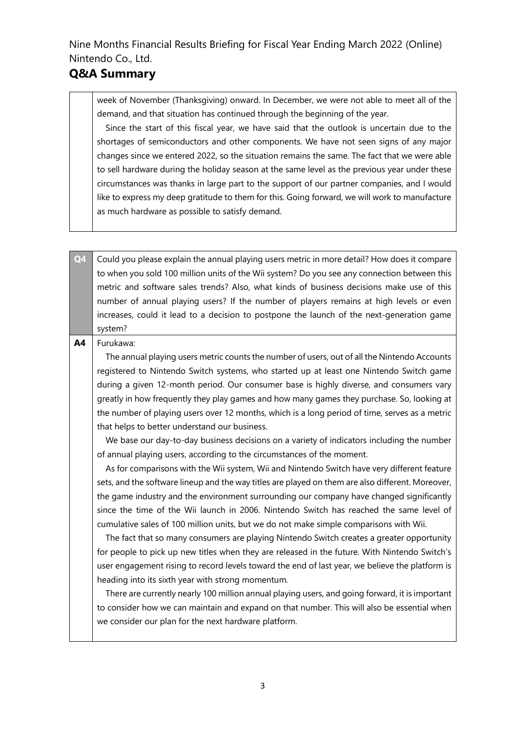#### **Q&A Summary**

week of November (Thanksgiving) onward. In December, we were not able to meet all of the demand, and that situation has continued through the beginning of the year.

Since the start of this fiscal year, we have said that the outlook is uncertain due to the shortages of semiconductors and other components. We have not seen signs of any major changes since we entered 2022, so the situation remains the same. The fact that we were able to sell hardware during the holiday season at the same level as the previous year under these circumstances was thanks in large part to the support of our partner companies, and I would like to express my deep gratitude to them for this. Going forward, we will work to manufacture as much hardware as possible to satisfy demand.

**Q4** Could you please explain the annual playing users metric in more detail? How does it compare to when you sold 100 million units of the Wii system? Do you see any connection between this metric and software sales trends? Also, what kinds of business decisions make use of this number of annual playing users? If the number of players remains at high levels or even increases, could it lead to a decision to postpone the launch of the next-generation game system?

#### **A4** Furukawa:

The annual playing users metric counts the number of users, out of all the Nintendo Accounts registered to Nintendo Switch systems, who started up at least one Nintendo Switch game during a given 12-month period. Our consumer base is highly diverse, and consumers vary greatly in how frequently they play games and how many games they purchase. So, looking at the number of playing users over 12 months, which is a long period of time, serves as a metric that helps to better understand our business.

We base our day-to-day business decisions on a variety of indicators including the number of annual playing users, according to the circumstances of the moment.

As for comparisons with the Wii system, Wii and Nintendo Switch have very different feature sets, and the software lineup and the way titles are played on them are also different. Moreover, the game industry and the environment surrounding our company have changed significantly since the time of the Wii launch in 2006. Nintendo Switch has reached the same level of cumulative sales of 100 million units, but we do not make simple comparisons with Wii.

The fact that so many consumers are playing Nintendo Switch creates a greater opportunity for people to pick up new titles when they are released in the future. With Nintendo Switch's user engagement rising to record levels toward the end of last year, we believe the platform is heading into its sixth year with strong momentum.

There are currently nearly 100 million annual playing users, and going forward, it is important to consider how we can maintain and expand on that number. This will also be essential when we consider our plan for the next hardware platform.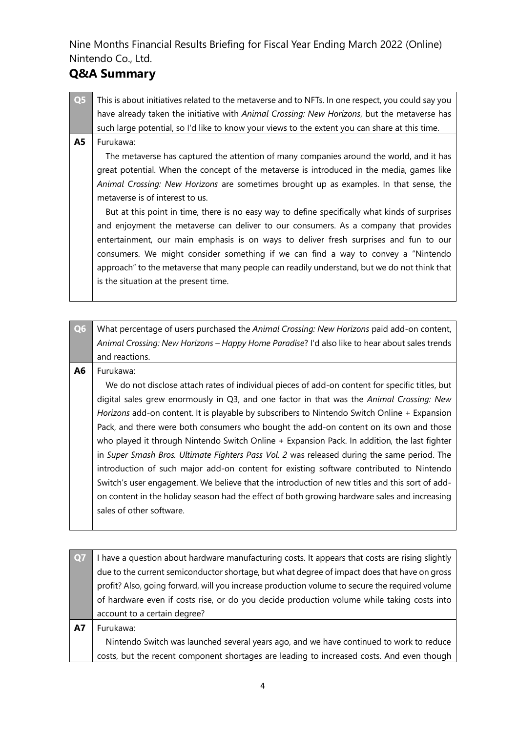### **Q&A Summary**

- **Q5** This is about initiatives related to the metaverse and to NFTs. In one respect, you could say you have already taken the initiative with *Animal Crossing: New Horizons*, but the metaverse has such large potential, so I'd like to know your views to the extent you can share at this time.
- **A5** Furukawa:

The metaverse has captured the attention of many companies around the world, and it has great potential. When the concept of the metaverse is introduced in the media, games like *Animal Crossing: New Horizons* are sometimes brought up as examples. In that sense, the metaverse is of interest to us.

But at this point in time, there is no easy way to define specifically what kinds of surprises and enjoyment the metaverse can deliver to our consumers. As a company that provides entertainment, our main emphasis is on ways to deliver fresh surprises and fun to our consumers. We might consider something if we can find a way to convey a "Nintendo approach" to the metaverse that many people can readily understand, but we do not think that is the situation at the present time.

**Q6** What percentage of users purchased the *Animal Crossing: New Horizons* paid add-on content, *Animal Crossing: New Horizons – Happy Home Paradise*? I'd also like to hear about sales trends and reactions.

#### **A6** Furukawa:

We do not disclose attach rates of individual pieces of add-on content for specific titles, but digital sales grew enormously in Q3, and one factor in that was the *Animal Crossing: New Horizons* add-on content. It is playable by subscribers to Nintendo Switch Online + Expansion Pack, and there were both consumers who bought the add-on content on its own and those who played it through Nintendo Switch Online + Expansion Pack. In addition, the last fighter in *Super Smash Bros. Ultimate Fighters Pass Vol. 2* was released during the same period. The introduction of such major add-on content for existing software contributed to Nintendo Switch's user engagement. We believe that the introduction of new titles and this sort of addon content in the holiday season had the effect of both growing hardware sales and increasing sales of other software.

| Q7        | I have a question about hardware manufacturing costs. It appears that costs are rising slightly |
|-----------|-------------------------------------------------------------------------------------------------|
|           | due to the current semiconductor shortage, but what degree of impact does that have on gross    |
|           | profit? Also, going forward, will you increase production volume to secure the required volume  |
|           | of hardware even if costs rise, or do you decide production volume while taking costs into      |
|           | account to a certain degree?                                                                    |
| <b>A7</b> | Furukawa:                                                                                       |
|           | Nintendo Switch was launched several years ago, and we have continued to work to reduce         |
|           | costs, but the recent component shortages are leading to increased costs. And even though       |